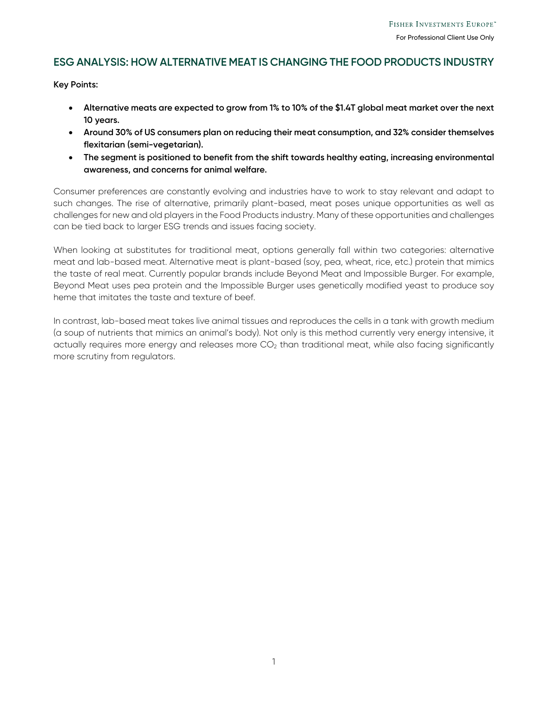# **ESG ANALYSIS: HOW ALTERNATIVE MEAT IS CHANGING THE FOOD PRODUCTS INDUSTRY**

**Key Points:** 

- **Alternative meats are expected to grow from 1% to 10% of the \$1.4T global meat market over the next 10 years.**
- **Around 30% of US consumers plan on reducing their meat consumption, and 32% consider themselves flexitarian (semi-vegetarian).**
- **The segment is positioned to benefit from the shift towards healthy eating, increasing environmental awareness, and concerns for animal welfare.**

Consumer preferences are constantly evolving and industries have to work to stay relevant and adapt to such changes. The rise of alternative, primarily plant-based, meat poses unique opportunities as well as challenges for new and old players in the Food Products industry. Many of these opportunities and challenges can be tied back to larger ESG trends and issues facing society.

When looking at substitutes for traditional meat, options generally fall within two categories: alternative meat and lab-based meat. Alternative meat is plant-based (soy, pea, wheat, rice, etc.) protein that mimics the taste of real meat. Currently popular brands include Beyond Meat and Impossible Burger. For example, Beyond Meat uses pea protein and the Impossible Burger uses genetically modified yeast to produce soy heme that imitates the taste and texture of beef.

In contrast, lab-based meat takes live animal tissues and reproduces the cells in a tank with growth medium (a soup of nutrients that mimics an animal's body). Not only is this method currently very energy intensive, it actually requires more energy and releases more CO<sub>2</sub> than traditional meat, while also facing significantly more scrutiny from regulators.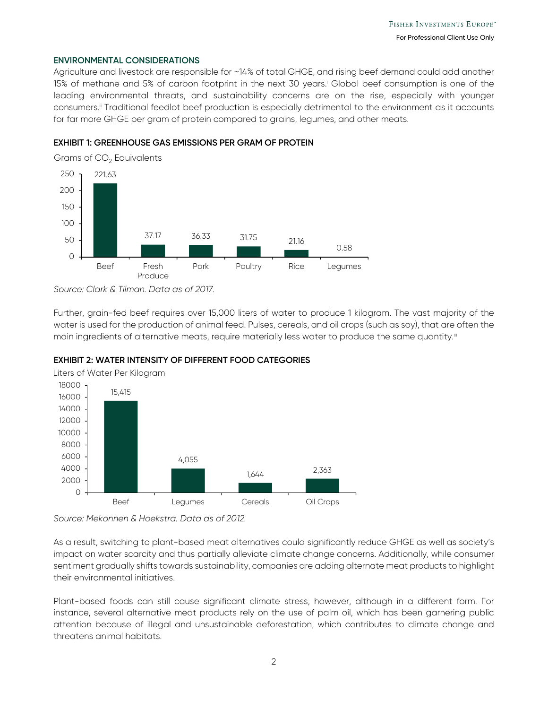#### **ENVIRONMENTAL CONSIDERATIONS**

Agriculture and livestock are responsible for ~14% of total GHGE, and rising beef demand could add another 15% of methane and 5% of carbon footprint in the next 30 years.<sup>i</sup> Global beef consumption is one of the leading environmental threats, and sustainability concerns are on the rise, especially with younger consumers.ii Traditional feedlot beef production is especially detrimental to the environment as it accounts for far more GHGE per gram of protein compared to grains, legumes, and other meats.

## **EXHIBIT 1: GREENHOUSE GAS EMISSIONS PER GRAM OF PROTEIN**



*Source: Clark & Tilman. Data as of 2017.* 

Further, grain-fed beef requires over 15,000 liters of water to produce 1 kilogram. The vast majority of the water is used for the production of animal feed. Pulses, cereals, and oil crops (such as soy), that are often the main ingredients of alternative meats, require materially less water to produce the same quantity.<sup>iii</sup>

## **EXHIBIT 2: WATER INTENSITY OF DIFFERENT FOOD CATEGORIES**



Liters of Water Per Kilogram

*Source: Mekonnen & Hoekstra. Data as of 2012.* 

As a result, switching to plant-based meat alternatives could significantly reduce GHGE as well as society's impact on water scarcity and thus partially alleviate climate change concerns. Additionally, while consumer sentiment gradually shifts towards sustainability, companies are adding alternate meat products to highlight their environmental initiatives.

Plant-based foods can still cause significant climate stress, however, although in a different form. For instance, several alternative meat products rely on the use of palm oil, which has been garnering public attention because of illegal and unsustainable deforestation, which contributes to climate change and threatens animal habitats.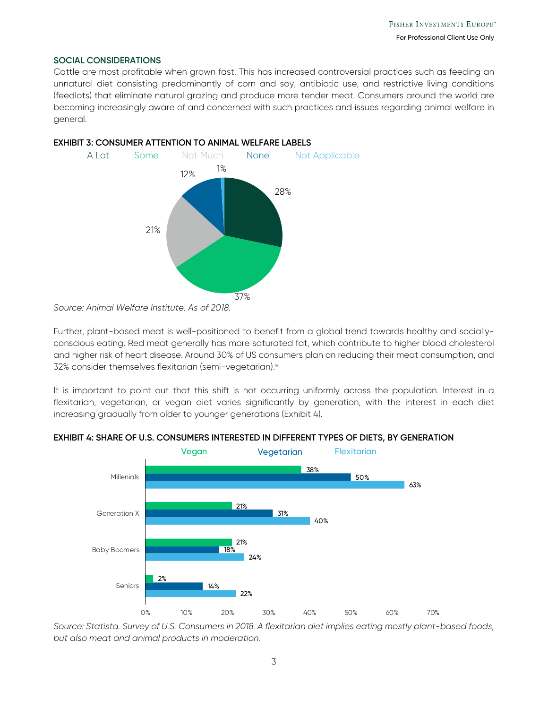#### **SOCIAL CONSIDERATIONS**

Cattle are most profitable when grown fast. This has increased controversial practices such as feeding an unnatural diet consisting predominantly of corn and soy, antibiotic use, and restrictive living conditions (feedlots) that eliminate natural grazing and produce more tender meat. Consumers around the world are becoming increasingly aware of and concerned with such practices and issues regarding animal welfare in general.



## **EXHIBIT 3: CONSUMER ATTENTION TO ANIMAL WELFARE LABELS**

Further, plant-based meat is well-positioned to benefit from a global trend towards healthy and sociallyconscious eating. Red meat generally has more saturated fat, which contribute to higher blood cholesterol and higher risk of heart disease. Around 30% of US consumers plan on reducing their meat consumption, and 32% consider themselves flexitarian (semi-vegetarian).iv

It is important to point out that this shift is not occurring uniformly across the population. Interest in a flexitarian, vegetarian, or vegan diet varies significantly by generation, with the interest in each diet increasing gradually from older to younger generations (Exhibit 4).



#### **EXHIBIT 4: SHARE OF U.S. CONSUMERS INTERESTED IN DIFFERENT TYPES OF DIETS, BY GENERATION**

*Source: Statista. Survey of U.S. Consumers in 2018. A flexitarian diet implies eating mostly plant-based foods, but also meat and animal products in moderation.* 

*Source: Animal Welfare Institute. As of 2018.*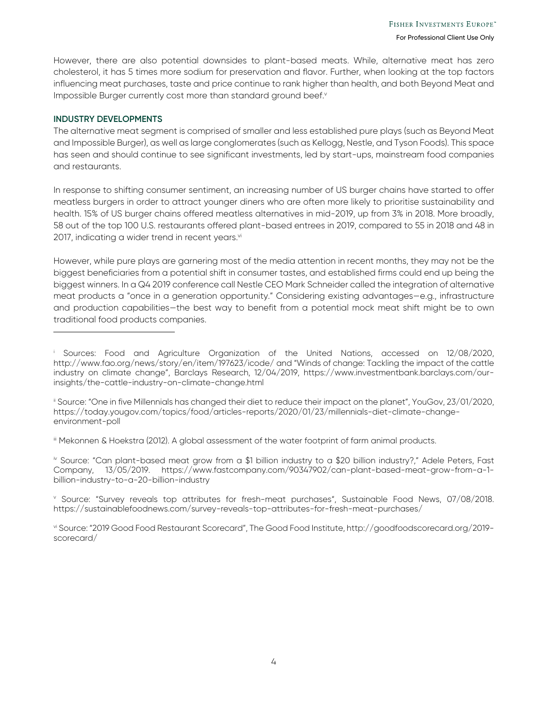However, there are also potential downsides to plant-based meats. While, alternative meat has zero cholesterol, it has 5 times more sodium for preservation and flavor. Further, when looking at the top factors influencing meat purchases, taste and price continue to rank higher than health, and both Beyond Meat and Impossible Burger currently cost more than standard ground beef.<sup>v</sup>

## **INDUSTRY DEVELOPMENTS**

j

The alternative meat segment is comprised of smaller and less established pure plays (such as Beyond Meat and Impossible Burger), as well as large conglomerates (such as Kellogg, Nestle, and Tyson Foods). This space has seen and should continue to see significant investments, led by start-ups, mainstream food companies and restaurants.

In response to shifting consumer sentiment, an increasing number of US burger chains have started to offer meatless burgers in order to attract younger diners who are often more likely to prioritise sustainability and health. 15% of US burger chains offered meatless alternatives in mid-2019, up from 3% in 2018. More broadly, 58 out of the top 100 U.S. restaurants offered plant-based entrees in 2019, compared to 55 in 2018 and 48 in 2017, indicating a wider trend in recent years. $vi$ 

However, while pure plays are garnering most of the media attention in recent months, they may not be the biggest beneficiaries from a potential shift in consumer tastes, and established firms could end up being the biggest winners. In a Q4 2019 conference call Nestle CEO Mark Schneider called the integration of alternative meat products a "once in a generation opportunity." Considering existing advantages—e.g., infrastructure and production capabilities—the best way to benefit from a potential mock meat shift might be to own traditional food products companies.

iii Mekonnen & Hoekstra (2012). A global assessment of the water footprint of farm animal products.

iv Source: "Can plant-based meat grow from a \$1 billion industry to a \$20 billion industry?," Adele Peters, Fast Company, 13/05/2019. https://www.fastcompany.com/90347902/can-plant-based-meat-grow-from-a-1 billion-industry-to-a-20-billion-industry

v Source: "Survey reveals top attributes for fresh-meat purchases", Sustainable Food News, 07/08/2018. https://sustainablefoodnews.com/survey-reveals-top-attributes-for-fresh-meat-purchases/

vi Source: "2019 Good Food Restaurant Scorecard", The Good Food Institute, http://goodfoodscorecard.org/2019 scorecard/

i Sources: Food and Agriculture Organization of the United Nations, accessed on 12/08/2020, http://www.fao.org/news/story/en/item/197623/icode/ and "Winds of change: Tackling the impact of the cattle industry on climate change", Barclays Research, 12/04/2019, https://www.investmentbank.barclays.com/ourinsights/the-cattle-industry-on-climate-change.html

ii Source: "One in five Millennials has changed their diet to reduce their impact on the planet", YouGov, 23/01/2020, https://today.yougov.com/topics/food/articles-reports/2020/01/23/millennials-diet-climate-changeenvironment-poll